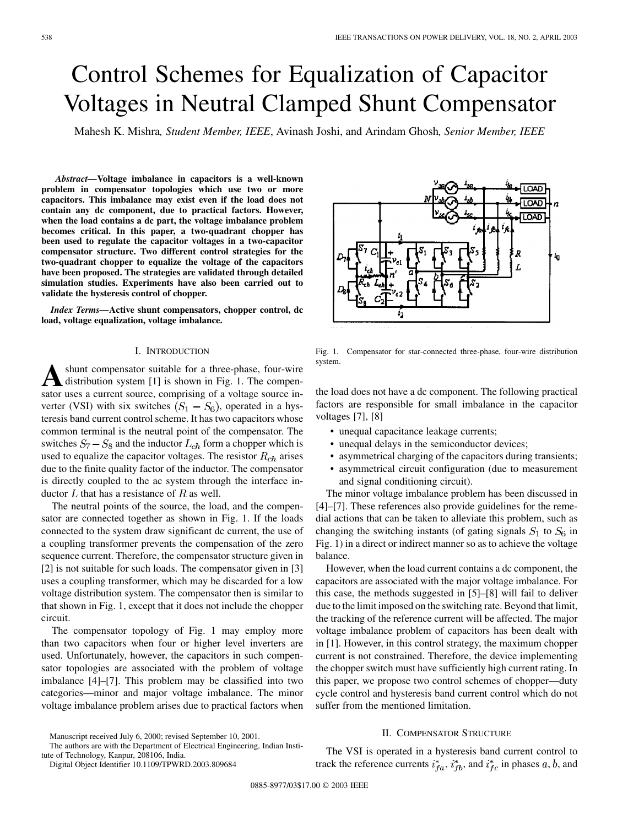# Control Schemes for Equalization of Capacitor Voltages in Neutral Clamped Shunt Compensator

Mahesh K. Mishra*, Student Member, IEEE*, Avinash Joshi, and Arindam Ghosh*, Senior Member, IEEE*

*Abstract—***Voltage imbalance in capacitors is a well-known problem in compensator topologies which use two or more capacitors. This imbalance may exist even if the load does not contain any dc component, due to practical factors. However, when the load contains a dc part, the voltage imbalance problem becomes critical. In this paper, a two-quadrant chopper has been used to regulate the capacitor voltages in a two-capacitor compensator structure. Two different control strategies for the two-quadrant chopper to equalize the voltage of the capacitors have been proposed. The strategies are validated through detailed simulation studies. Experiments have also been carried out to validate the hysteresis control of chopper.**

*Index Terms—***Active shunt compensators, chopper control, dc load, voltage equalization, voltage imbalance.**

#### I. INTRODUCTION

**A** shunt compensator suitable for a three-phase, four-wire distribution system [1] is shown in Fig. 1. The compensator uses a current source, comprising of a voltage source inshunt compensator suitable for a three-phase, four-wire distribution system [1] is shown in Fig. 1. The compenverter (VSI) with six switches  $(S_1 - S_6)$ , operated in a hysteresis band current control scheme. It has two capacitors whose common terminal is the neutral point of the compensator. The switches  $S_7 - S_8$  and the inductor  $L_{ch}$  form a chopper which is used to equalize the capacitor voltages. The resistor  $R_{ch}$  arises due to the finite quality factor of the inductor. The compensator is directly coupled to the ac system through the interface inductor  $L$  that has a resistance of  $R$  as well.

The neutral points of the source, the load, and the compensator are connected together as shown in Fig. 1. If the loads connected to the system draw significant dc current, the use of a coupling transformer prevents the compensation of the zero sequence current. Therefore, the compensator structure given in [2] is not suitable for such loads. The compensator given in [3] uses a coupling transformer, which may be discarded for a low voltage distribution system. The compensator then is similar to that shown in Fig. 1, except that it does not include the chopper circuit.

The compensator topology of Fig. 1 may employ more than two capacitors when four or higher level inverters are used. Unfortunately, however, the capacitors in such compensator topologies are associated with the problem of voltage imbalance [4]–[7]. This problem may be classified into two categories—minor and major voltage imbalance. The minor voltage imbalance problem arises due to practical factors when

The authors are with the Department of Electrical Engineering, Indian Institute of Technology, Kanpur, 208106, India.

Digital Object Identifier 10.1109/TPWRD.2003.809684



Fig. 1. Compensator for star-connected three-phase, four-wire distribution system.

the load does not have a dc component. The following practical factors are responsible for small imbalance in the capacitor voltages [7], [8]

- unequal capacitance leakage currents;
- unequal delays in the semiconductor devices;
- asymmetrical charging of the capacitors during transients;
- asymmetrical circuit configuration (due to measurement and signal conditioning circuit).

The minor voltage imbalance problem has been discussed in [4]–[7]. These references also provide guidelines for the remedial actions that can be taken to alleviate this problem, such as changing the switching instants (of gating signals  $S_1$  to  $S_6$  in Fig. 1) in a direct or indirect manner so as to achieve the voltage balance.

However, when the load current contains a dc component, the capacitors are associated with the major voltage imbalance. For this case, the methods suggested in [5]–[8] will fail to deliver due to the limit imposed on the switching rate. Beyond that limit, the tracking of the reference current will be affected. The major voltage imbalance problem of capacitors has been dealt with in [1]. However, in this control strategy, the maximum chopper current is not constrained. Therefore, the device implementing the chopper switch must have sufficiently high current rating. In this paper, we propose two control schemes of chopper—duty cycle control and hysteresis band current control which do not suffer from the mentioned limitation.

# II. COMPENSATOR STRUCTURE

The VSI is operated in a hysteresis band current control to track the reference currents  $i_{fa}^*$ ,  $i_{fb}^*$ , and  $i_{fc}^*$  in phases a, b, and

Manuscript received July 6, 2000; revised September 10, 2001.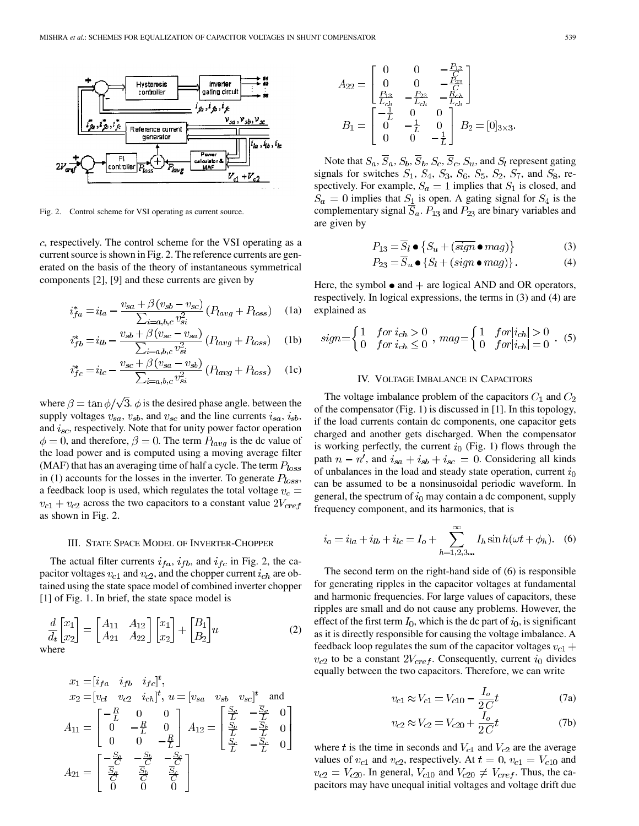

Fig. 2. Control scheme for VSI operating as current source.

 $c$ , respectively. The control scheme for the VSI operating as a current source is shown in Fig. 2. The reference currents are generated on the basis of the theory of instantaneous symmetrical components [2], [9] and these currents are given by

$$
i_{fa}^* = i_{la} - \frac{v_{sa} + \beta (v_{sb} - v_{sc})}{\sum_{i=a,b,c} v_{si}^2} (P_{lavg} + P_{loss})
$$
 (1a)

$$
i_{fb}^* = i_{lb} - \frac{v_{sb} + \beta (v_{sc} - v_{sa})}{\sum_{i=a,b,c} v_{si}^2} (P_{lavg} + P_{loss})
$$
 (1b)

$$
i_{fc}^* = i_{lc} - \frac{v_{sc} + \beta (v_{sa} - v_{sb})}{\sum_{i=a,b,c} v_{si}^2} (P_{lavg} + P_{loss})
$$
 (1c)

where  $\beta = \tan \phi / \sqrt{3}$ .  $\phi$  is the desired phase angle. between the supply voltages  $v_{sa}$ ,  $v_{sb}$ , and  $v_{sc}$  and the line currents  $i_{sa}$ ,  $i_{sb}$ , and  $i_{sc}$ , respectively. Note that for unity power factor operation  $\phi = 0$ , and therefore,  $\beta = 0$ . The term  $P_{lavg}$  is the dc value of the load power and is computed using a moving average filter (MAF) that has an averaging time of half a cycle. The term  $P_{loss}$ in (1) accounts for the losses in the inverter. To generate  $P_{loss}$ , a feedback loop is used, which regulates the total voltage  $v_c =$  $v_{c1} + v_{c2}$  across the two capacitors to a constant value  $2V_{cref}$ as shown in Fig. 2.

## III. STATE SPACE MODEL OF INVERTER-CHOPPER

The actual filter currents  $i_{fa}$ ,  $i_{fb}$ , and  $i_{fc}$  in Fig. 2, the capacitor voltages  $v_{c1}$  and  $v_{c2}$ , and the chopper current  $i_{ch}$  are obtained using the state space model of combined inverter chopper [1] of Fig. 1. In brief, the state space model is

$$
\frac{d}{d_t} \begin{bmatrix} x_1 \\ x_2 \end{bmatrix} = \begin{bmatrix} A_{11} & A_{12} \\ A_{21} & A_{22} \end{bmatrix} \begin{bmatrix} x_1 \\ x_2 \end{bmatrix} + \begin{bmatrix} B_1 \\ B_2 \end{bmatrix} u \tag{2}
$$
\nwhere

$$
x_1 = [i_{fa} \quad i_{fb} \quad i_{fc}]^t,
$$
  
\n
$$
x_2 = [v_{c1} \quad v_{c2} \quad i_{ch}]^t, u = [v_{sa} \quad v_{sb} \quad v_{sc}]^t \text{ and}
$$
  
\n
$$
A_{11} = \begin{bmatrix} -\frac{R}{L} & 0 & 0 \\ 0 & -\frac{R}{L} & 0 \\ 0 & 0 & -\frac{R}{L} \end{bmatrix} A_{12} = \begin{bmatrix} \frac{S_a}{L} & -\frac{\overline{S}_a}{L} & 0 \\ \frac{S_b}{L} & -\frac{\overline{S}_b}{L} & 0 \\ \frac{S_c}{L} & -\frac{\overline{S}_c}{L} & 0 \end{bmatrix}
$$
  
\n
$$
A_{21} = \begin{bmatrix} -\frac{S_a}{C} & -\frac{S_b}{C} & -\frac{S_c}{C} \\ \frac{\overline{S}_a}{C} & \frac{\overline{S}_b}{C} & \frac{\overline{S}_c}{C} \\ 0 & 0 & 0 \end{bmatrix}
$$

$$
A_{22} = \begin{bmatrix} 0 & 0 & -\frac{F_{13}}{C} \\ 0 & 0 & -\frac{F_{23}}{C} \\ \frac{F_{13}}{L_{ch}} & -\frac{F_{23}}{L_{ch}} & -\frac{F_{ch}}{L_{ch}} \end{bmatrix}
$$

$$
B_1 = \begin{bmatrix} -\frac{1}{L} & 0 & 0 \\ 0 & -\frac{1}{L} & 0 \\ 0 & 0 & -\frac{1}{L} \end{bmatrix} B_2 = [0]_{3 \times 3}.
$$

Note that  $S_a$ ,  $\overline{S}_a$ ,  $S_b$ ,  $\overline{S}_b$ ,  $S_c$ ,  $\overline{S}_c$ ,  $S_u$ , and  $S_l$  represent gating signals for switches  $S_1$ ,  $S_4$ ,  $S_3$ ,  $S_6$ ,  $S_5$ ,  $S_2$ ,  $S_7$ , and  $S_8$ , respectively. For example,  $S_a = 1$  implies that  $S_1$  is closed, and  $S_a = 0$  implies that  $S_1$  is open. A gating signal for  $S_4$  is the complementary signal  $\overline{S}_a$ .  $P_{13}$  and  $P_{23}$  are binary variables and are given by

$$
P_{13} = \overline{S}_l \bullet \{ S_u + (\overline{sign} \bullet mag) \}
$$
 (3)

$$
P_{23} = \overline{S}_u \bullet \{ S_l + (sign \bullet mag) \}.
$$
 (4)

Here, the symbol  $\bullet$  and  $+$  are logical AND and OR operators, respectively. In logical expressions, the terms in (3) and (4) are explained as

$$
sign = \begin{cases} 1 & \text{for } i_{ch} > 0 \\ 0 & \text{for } i_{ch} \le 0 \end{cases}, \ mag = \begin{cases} 1 & \text{for } |i_{ch}| > 0 \\ 0 & \text{for } |i_{ch}| = 0 \end{cases}.
$$
 (5)

## IV. VOLTAGE IMBALANCE IN CAPACITORS

The voltage imbalance problem of the capacitors  $C_1$  and  $C_2$ of the compensator (Fig. 1) is discussed in [1]. In this topology, if the load currents contain dc components, one capacitor gets charged and another gets discharged. When the compensator is working perfectly, the current  $i_0$  (Fig. 1) flows through the path  $n - n'$ , and  $i_{sa} + i_{sb} + i_{sc} = 0$ . Considering all kinds of unbalances in the load and steady state operation, current  $i_0$ can be assumed to be a nonsinusoidal periodic waveform. In general, the spectrum of  $i_0$  may contain a dc component, supply frequency component, and its harmonics, that is

$$
i_o = i_{la} + i_{lb} + i_{lc} = I_o + \sum_{h=1,2,3...}^{\infty} I_h \sin h(\omega t + \phi_h).
$$
 (6)

The second term on the right-hand side of (6) is responsible for generating ripples in the capacitor voltages at fundamental and harmonic frequencies. For large values of capacitors, these ripples are small and do not cause any problems. However, the effect of the first term  $I_0$ , which is the dc part of  $i_0$ , is significant as it is directly responsible for causing the voltage imbalance. A feedback loop regulates the sum of the capacitor voltages  $v_{c1}$  +  $v_{c2}$  to be a constant  $2V_{cref}$ . Consequently, current  $i_0$  divides equally between the two capacitors. Therefore, we can write

$$
v_{c1} \approx V_{c1} = V_{c10} - \frac{I_o}{2C}t
$$
 (7a)

$$
v_{c2} \approx V_{c2} = V_{c20} + \frac{I_o}{2C}t
$$
 (7b)

where t is the time in seconds and  $V_{c1}$  and  $V_{c2}$  are the average values of  $v_{c1}$  and  $v_{c2}$ , respectively. At  $t = 0$ ,  $v_{c1} = V_{c10}$  and  $v_{c2} = V_{c20}$ . In general,  $V_{c10}$  and  $V_{c20} \neq V_{cref}$ . Thus, the capacitors may have unequal initial voltages and voltage drift due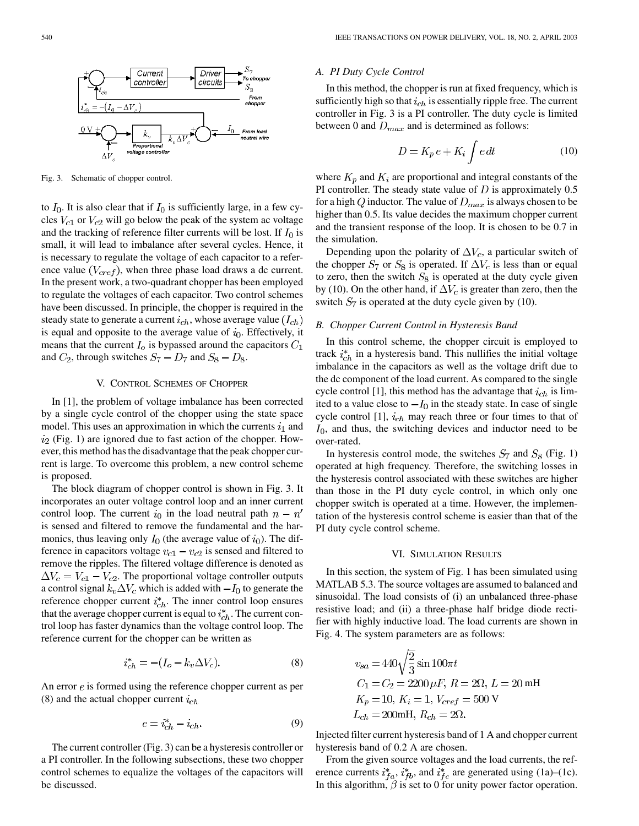

Fig. 3. Schematic of chopper control.

to  $I_0$ . It is also clear that if  $I_0$  is sufficiently large, in a few cycles  $V_{c1}$  or  $V_{c2}$  will go below the peak of the system ac voltage and the tracking of reference filter currents will be lost. If  $I_0$  is small, it will lead to imbalance after several cycles. Hence, it is necessary to regulate the voltage of each capacitor to a reference value  $(V_{\text{cref}})$ , when three phase load draws a dc current. In the present work, a two-quadrant chopper has been employed to regulate the voltages of each capacitor. Two control schemes have been discussed. In principle, the chopper is required in the steady state to generate a current  $i_{ch}$ , whose average value  $(I_{ch})$ is equal and opposite to the average value of  $i_0$ . Effectively, it means that the current  $I_0$  is bypassed around the capacitors  $C_1$ and  $C_2$ , through switches  $S_7 - D_7$  and  $S_8 - D_8$ .

# V. CONTROL SCHEMES OF CHOPPER

In [1], the problem of voltage imbalance has been corrected by a single cycle control of the chopper using the state space model. This uses an approximation in which the currents  $i_1$  and  $i_2$  (Fig. 1) are ignored due to fast action of the chopper. However, this method has the disadvantage that the peak chopper current is large. To overcome this problem, a new control scheme is proposed.

The block diagram of chopper control is shown in Fig. 3. It incorporates an outer voltage control loop and an inner current control loop. The current  $i_0$  in the load neutral path  $n - n'$ is sensed and filtered to remove the fundamental and the harmonics, thus leaving only  $I_0$  (the average value of  $i_0$ ). The difference in capacitors voltage  $v_{c1} - v_{c2}$  is sensed and filtered to remove the ripples. The filtered voltage difference is denoted as  $\Delta V_c = V_{c1} - V_{c2}$ . The proportional voltage controller outputs a control signal  $k_v \Delta V_c$  which is added with  $-I_0$  to generate the reference chopper current  $i_{ch}^*$ . The inner control loop ensures that the average chopper current is equal to  $i_{ch}^*$ . The current control loop has faster dynamics than the voltage control loop. The reference current for the chopper can be written as

$$
i_{ch}^* = -(I_o - k_v \Delta V_c). \tag{8}
$$

An error  $e$  is formed using the reference chopper current as per (8) and the actual chopper current  $i_{ch}$ 

$$
e = i_{ch}^* - i_{ch}.\tag{9}
$$

The current controller (Fig. 3) can be a hysteresis controller or a PI controller. In the following subsections, these two chopper control schemes to equalize the voltages of the capacitors will be discussed.

# *A. PI Duty Cycle Control*

In this method, the chopper is run at fixed frequency, which is sufficiently high so that  $i_{ch}$  is essentially ripple free. The current controller in Fig. 3 is a PI controller. The duty cycle is limited between 0 and  $D_{max}$  and is determined as follows:

$$
D = K_p e + K_i \int e \, dt \tag{10}
$$

where  $K_p$  and  $K_i$  are proportional and integral constants of the PI controller. The steady state value of  $D$  is approximately 0.5 for a high Q inductor. The value of  $D_{max}$  is always chosen to be higher than 0.5. Its value decides the maximum chopper current and the transient response of the loop. It is chosen to be 0.7 in the simulation.

Depending upon the polarity of  $\Delta V_c$ , a particular switch of the chopper  $S_7$  or  $S_8$  is operated. If  $\Delta V_c$  is less than or equal to zero, then the switch  $S_8$  is operated at the duty cycle given by (10). On the other hand, if  $\Delta V_c$  is greater than zero, then the switch  $S_7$  is operated at the duty cycle given by (10).

# *B. Chopper Current Control in Hysteresis Band*

In this control scheme, the chopper circuit is employed to track  $i_{ch}^*$  in a hysteresis band. This nullifies the initial voltage imbalance in the capacitors as well as the voltage drift due to the dc component of the load current. As compared to the single cycle control [1], this method has the advantage that  $i_{ch}$  is limited to a value close to  $-I_0$  in the steady state. In case of single cycle control [1],  $i_{ch}$  may reach three or four times to that of  $I_0$ , and thus, the switching devices and inductor need to be over-rated.

In hysteresis control mode, the switches  $S_7$  and  $S_8$  (Fig. 1) operated at high frequency. Therefore, the switching losses in the hysteresis control associated with these switches are higher than those in the PI duty cycle control, in which only one chopper switch is operated at a time. However, the implementation of the hysteresis control scheme is easier than that of the PI duty cycle control scheme.

#### VI. SIMULATION RESULTS

In this section, the system of Fig. 1 has been simulated using MATLAB 5.3. The source voltages are assumed to balanced and sinusoidal. The load consists of (i) an unbalanced three-phase resistive load; and (ii) a three-phase half bridge diode rectifier with highly inductive load. The load currents are shown in Fig. 4. The system parameters are as follows:

$$
v_{sa} = 440 \sqrt{\frac{2}{3}} \sin 100 \pi t
$$
  
\n
$$
C_1 = C_2 = 2200 \,\mu F, R = 2\Omega, L = 20 \text{ mH}
$$
  
\n
$$
K_p = 10, K_i = 1, V_{cref} = 500 \text{ V}
$$
  
\n
$$
L_{ch} = 200 \text{ mH}, R_{ch} = 2\Omega.
$$

Injected filter current hysteresis band of 1 A and chopper current hysteresis band of 0.2 A are chosen.

From the given source voltages and the load currents, the reference currents  $i_{fa}^*$ ,  $i_{fb}^*$ , and  $i_{fc}^*$  are generated using (1a)–(1c). In this algorithm,  $\beta$  is set to 0 for unity power factor operation.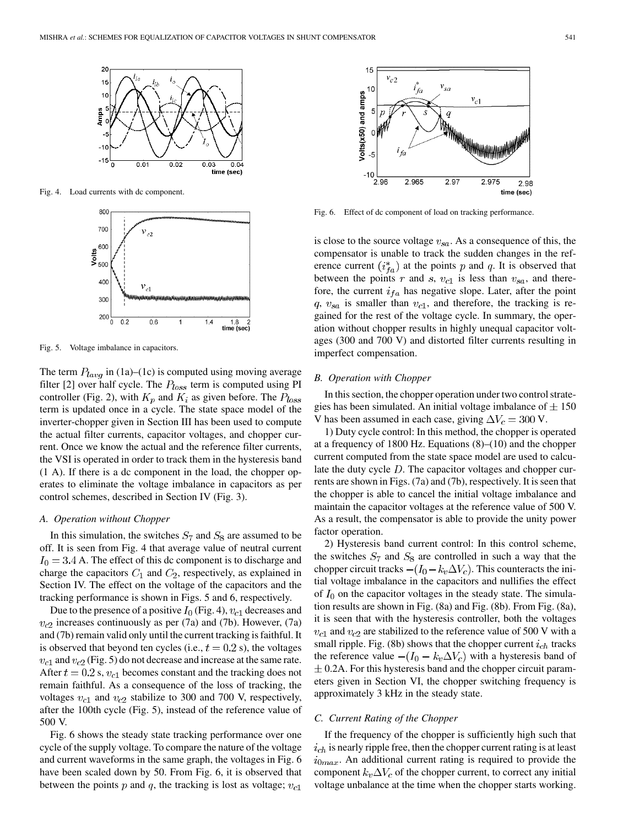

Fig. 4. Load currents with dc component.



Fig. 5. Voltage imbalance in capacitors.

The term  $P_{lavq}$  in (1a)–(1c) is computed using moving average filter [2] over half cycle. The  $P_{loss}$  term is computed using PI controller (Fig. 2), with  $K_p$  and  $K_i$  as given before. The  $P_{loss}$ term is updated once in a cycle. The state space model of the inverter-chopper given in Section III has been used to compute the actual filter currents, capacitor voltages, and chopper current. Once we know the actual and the reference filter currents, the VSI is operated in order to track them in the hysteresis band (1 A). If there is a dc component in the load, the chopper operates to eliminate the voltage imbalance in capacitors as per control schemes, described in Section IV (Fig. 3).

#### *A. Operation without Chopper*

In this simulation, the switches  $S_7$  and  $S_8$  are assumed to be off. It is seen from Fig. 4 that average value of neutral current  $I_0 = 3.4$  A. The effect of this dc component is to discharge and charge the capacitors  $C_1$  and  $C_2$ , respectively, as explained in Section IV. The effect on the voltage of the capacitors and the tracking performance is shown in Figs. 5 and 6, respectively.

Due to the presence of a positive  $I_0$  (Fig. 4),  $v_{c1}$  decreases and  $v_{c2}$  increases continuously as per (7a) and (7b). However, (7a) and (7b) remain valid only until the current tracking is faithful. It is observed that beyond ten cycles (i.e.,  $t = 0.2$  s), the voltages  $v_{c1}$  and  $v_{c2}$  (Fig. 5) do not decrease and increase at the same rate. After  $t = 0.2$  s,  $v_{c1}$  becomes constant and the tracking does not remain faithful. As a consequence of the loss of tracking, the voltages  $v_{c1}$  and  $v_{c2}$  stabilize to 300 and 700 V, respectively, after the 100th cycle (Fig. 5), instead of the reference value of 500 V.

Fig. 6 shows the steady state tracking performance over one cycle of the supply voltage. To compare the nature of the voltage and current waveforms in the same graph, the voltages in Fig. 6 have been scaled down by 50. From Fig. 6, it is observed that between the points p and q, the tracking is lost as voltage;  $v_{c1}$ 



Fig. 6. Effect of dc component of load on tracking performance.

is close to the source voltage  $v_{sa}$ . As a consequence of this, the compensator is unable to track the sudden changes in the reference current  $(i_{fa}^*)$  at the points p and q. It is observed that between the points r and s,  $v_{c1}$  is less than  $v_{sa}$ , and therefore, the current  $i_{fa}$  has negative slope. Later, after the point  $q, v_{sa}$  is smaller than  $v_{c1}$ , and therefore, the tracking is regained for the rest of the voltage cycle. In summary, the operation without chopper results in highly unequal capacitor voltages (300 and 700 V) and distorted filter currents resulting in imperfect compensation.

# *B. Operation with Chopper*

In this section, the chopper operation under two control strategies has been simulated. An initial voltage imbalance of  $\pm 150$ V has been assumed in each case, giving  $\Delta V_c = 300$  V.

1) Duty cycle control: In this method, the chopper is operated at a frequency of 1800 Hz. Equations (8)–(10) and the chopper current computed from the state space model are used to calculate the duty cycle  $D$ . The capacitor voltages and chopper currents are shown in Figs. (7a) and (7b), respectively. It is seen that the chopper is able to cancel the initial voltage imbalance and maintain the capacitor voltages at the reference value of 500 V. As a result, the compensator is able to provide the unity power factor operation.

2) Hysteresis band current control: In this control scheme, the switches  $S_7$  and  $S_8$  are controlled in such a way that the chopper circuit tracks  $-(I_0 - k_v \Delta V_c)$ . This counteracts the initial voltage imbalance in the capacitors and nullifies the effect of  $I_0$  on the capacitor voltages in the steady state. The simulation results are shown in Fig. (8a) and Fig. (8b). From Fig. (8a), it is seen that with the hysteresis controller, both the voltages  $v_{c1}$  and  $v_{c2}$  are stabilized to the reference value of 500 V with a small ripple. Fig. (8b) shows that the chopper current  $i_{ch}$  tracks the reference value  $-(I_0 - k_v \Delta V_c)$  with a hysteresis band of  $\pm$  0.2A. For this hysteresis band and the chopper circuit parameters given in Section VI, the chopper switching frequency is approximately 3 kHz in the steady state.

## *C. Current Rating of the Chopper*

If the frequency of the chopper is sufficiently high such that  $i_{ch}$  is nearly ripple free, then the chopper current rating is at least  $i_{0max}$ . An additional current rating is required to provide the component  $k_v \Delta V_c$  of the chopper current, to correct any initial voltage unbalance at the time when the chopper starts working.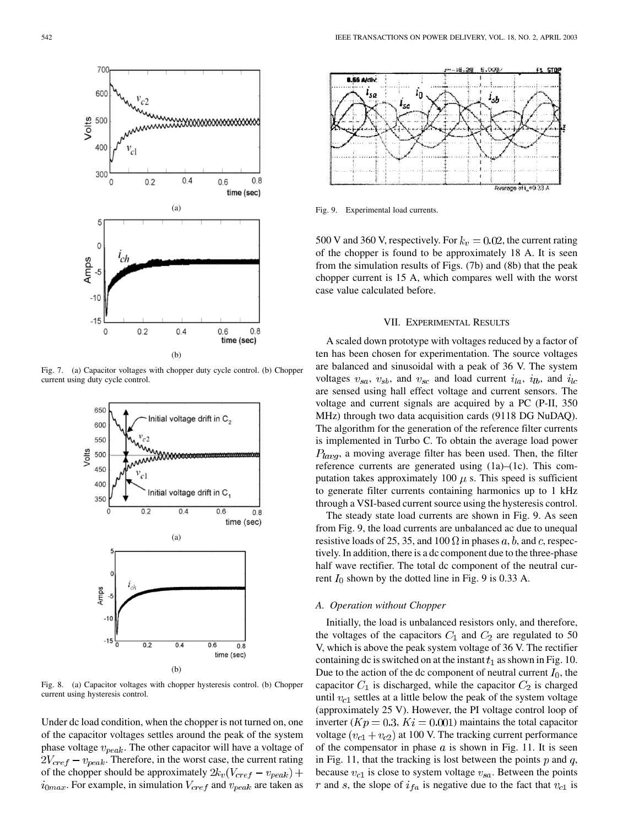

Fig. 7. (a) Capacitor voltages with chopper duty cycle control. (b) Chopper current using duty cycle control.



Fig. 8. (a) Capacitor voltages with chopper hysteresis control. (b) Chopper current using hysteresis control.

Under dc load condition, when the chopper is not turned on, one of the capacitor voltages settles around the peak of the system phase voltage  $v_{peak}$ . The other capacitor will have a voltage of  $2V_{\text{cref}} - v_{\text{peak}}$ . Therefore, in the worst case, the current rating of the chopper should be approximately  $2k_v(V_{\text{cref}} - v_{\text{peak}}) +$  $i_{0max}$ . For example, in simulation  $V_{cref}$  and  $v_{peak}$  are taken as



Fig. 9. Experimental load currents.

500 V and 360 V, respectively. For  $k_v = 0.02$ , the current rating of the chopper is found to be approximately 18 A. It is seen from the simulation results of Figs. (7b) and (8b) that the peak chopper current is 15 A, which compares well with the worst case value calculated before.

# VII. EXPERIMENTAL RESULTS

A scaled down prototype with voltages reduced by a factor of ten has been chosen for experimentation. The source voltages are balanced and sinusoidal with a peak of 36 V. The system voltages  $v_{sa}$ ,  $v_{sb}$ , and  $v_{sc}$  and load current  $i_{la}$ ,  $i_{lb}$ , and  $i_{lc}$ are sensed using hall effect voltage and current sensors. The voltage and current signals are acquired by a PC (P-II, 350 MHz) through two data acquisition cards (9118 DG NuDAQ). The algorithm for the generation of the reference filter currents is implemented in Turbo C. To obtain the average load power  $P_{lavq}$ , a moving average filter has been used. Then, the filter reference currents are generated using (1a)–(1c). This computation takes approximately 100  $\mu$  s. This speed is sufficient to generate filter currents containing harmonics up to 1 kHz through a VSI-based current source using the hysteresis control.

The steady state load currents are shown in Fig. 9. As seen from Fig. 9, the load currents are unbalanced ac due to unequal resistive loads of 25, 35, and 100  $\Omega$  in phases a, b, and c, respectively. In addition, there is a dc component due to the three-phase half wave rectifier. The total dc component of the neutral current  $I_0$  shown by the dotted line in Fig. 9 is 0.33 A.

# *A. Operation without Chopper*

Initially, the load is unbalanced resistors only, and therefore, the voltages of the capacitors  $C_1$  and  $C_2$  are regulated to 50 V, which is above the peak system voltage of 36 V. The rectifier containing dc is switched on at the instant  $t_1$  as shown in Fig. 10. Due to the action of the dc component of neutral current  $I_0$ , the capacitor  $C_1$  is discharged, while the capacitor  $C_2$  is charged until  $v_{c1}$  settles at a little below the peak of the system voltage (approximately 25 V). However, the PI voltage control loop of inverter ( $Kp = 0.3$ ,  $Ki = 0.001$ ) maintains the total capacitor voltage  $(v_{c1} + v_{c2})$  at 100 V. The tracking current performance of the compensator in phase  $a$  is shown in Fig. 11. It is seen in Fig. 11, that the tracking is lost between the points  $p$  and  $q$ , because  $v_{c1}$  is close to system voltage  $v_{sa}$ . Between the points r and s, the slope of  $i_{fa}$  is negative due to the fact that  $v_{c1}$  is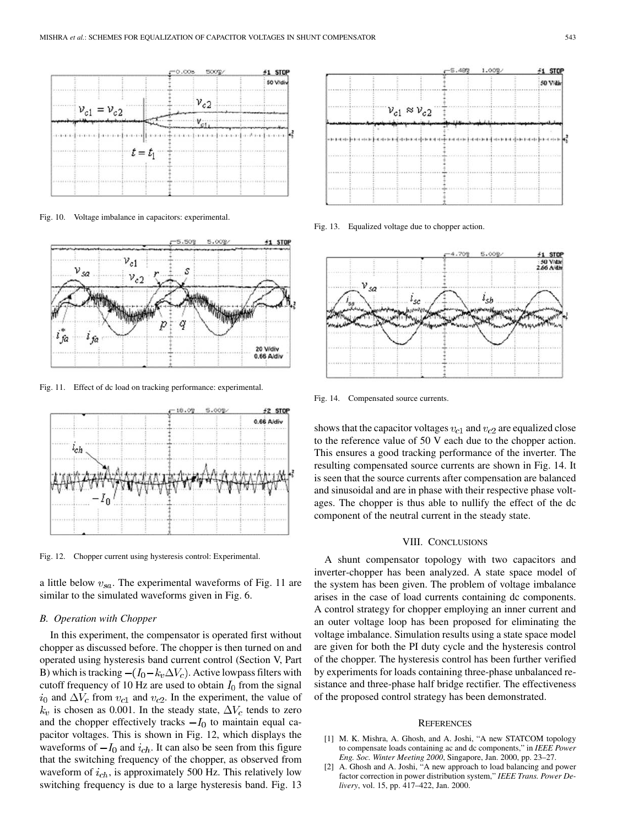

Fig. 10. Voltage imbalance in capacitors: experimental.



Fig. 11. Effect of dc load on tracking performance: experimental.



Fig. 12. Chopper current using hysteresis control: Experimental.

a little below  $v_{sa}$ . The experimental waveforms of Fig. 11 are similar to the simulated waveforms given in Fig. 6.

## *B. Operation with Chopper*

In this experiment, the compensator is operated first without chopper as discussed before. The chopper is then turned on and operated using hysteresis band current control (Section V, Part B) which is tracking  $-(I_0 - k_v \Delta V_c)$ . Active lowpass filters with cutoff frequency of 10 Hz are used to obtain  $I_0$  from the signal  $i_0$  and  $\Delta V_c$  from  $v_{c1}$  and  $v_{c2}$ . In the experiment, the value of  $k_v$  is chosen as 0.001. In the steady state,  $\Delta V_c$  tends to zero and the chopper effectively tracks  $-I_0$  to maintain equal capacitor voltages. This is shown in Fig. 12, which displays the waveforms of  $-I_0$  and  $i_{ch}$ . It can also be seen from this figure that the switching frequency of the chopper, as observed from waveform of  $i_{ch}$ , is approximately 500 Hz. This relatively low switching frequency is due to a large hysteresis band. Fig. 13



Fig. 13. Equalized voltage due to chopper action.



Fig. 14. Compensated source currents.

shows that the capacitor voltages  $v_{c1}$  and  $v_{c2}$  are equalized close to the reference value of 50 V each due to the chopper action. This ensures a good tracking performance of the inverter. The resulting compensated source currents are shown in Fig. 14. It is seen that the source currents after compensation are balanced and sinusoidal and are in phase with their respective phase voltages. The chopper is thus able to nullify the effect of the dc component of the neutral current in the steady state.

#### VIII. CONCLUSIONS

A shunt compensator topology with two capacitors and inverter-chopper has been analyzed. A state space model of the system has been given. The problem of voltage imbalance arises in the case of load currents containing dc components. A control strategy for chopper employing an inner current and an outer voltage loop has been proposed for eliminating the voltage imbalance. Simulation results using a state space model are given for both the PI duty cycle and the hysteresis control of the chopper. The hysteresis control has been further verified by experiments for loads containing three-phase unbalanced resistance and three-phase half bridge rectifier. The effectiveness of the proposed control strategy has been demonstrated.

#### **REFERENCES**

- [1] M. K. Mishra, A. Ghosh, and A. Joshi, "A new STATCOM topology to compensate loads containing ac and dc components," in *IEEE Power Eng. Soc. Winter Meeting 2000*, Singapore, Jan. 2000, pp. 23–27.
- [2] A. Ghosh and A. Joshi, "A new approach to load balancing and power factor correction in power distribution system," *IEEE Trans. Power Delivery*, vol. 15, pp. 417–422, Jan. 2000.